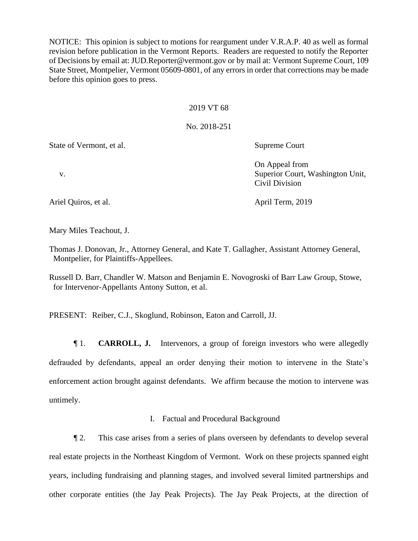NOTICE: This opinion is subject to motions for reargument under V.R.A.P. 40 as well as formal revision before publication in the Vermont Reports. Readers are requested to notify the Reporter of Decisions by email at: JUD.Reporter@vermont.gov or by mail at: Vermont Supreme Court, 109 State Street, Montpelier, Vermont 05609-0801, of any errors in order that corrections may be made before this opinion goes to press.

#### 2019 VT 68

## No. 2018-251

State of Vermont, et al. Supreme Court

On Appeal from v. Superior Court, Washington Unit, Civil Division

Ariel Quiros, et al. April Term, 2019

Mary Miles Teachout, J.

Thomas J. Donovan, Jr., Attorney General, and Kate T. Gallagher, Assistant Attorney General, Montpelier, for Plaintiffs-Appellees.

Russell D. Barr, Chandler W. Matson and Benjamin E. Novogroski of Barr Law Group, Stowe, for Intervenor-Appellants Antony Sutton, et al.

PRESENT: Reiber, C.J., Skoglund, Robinson, Eaton and Carroll, JJ.

¶ 1. **CARROLL, J.** Intervenors, a group of foreign investors who were allegedly defrauded by defendants, appeal an order denying their motion to intervene in the State's enforcement action brought against defendants. We affirm because the motion to intervene was untimely.

## I. Factual and Procedural Background

¶ 2. This case arises from a series of plans overseen by defendants to develop several real estate projects in the Northeast Kingdom of Vermont. Work on these projects spanned eight years, including fundraising and planning stages, and involved several limited partnerships and other corporate entities (the Jay Peak Projects). The Jay Peak Projects, at the direction of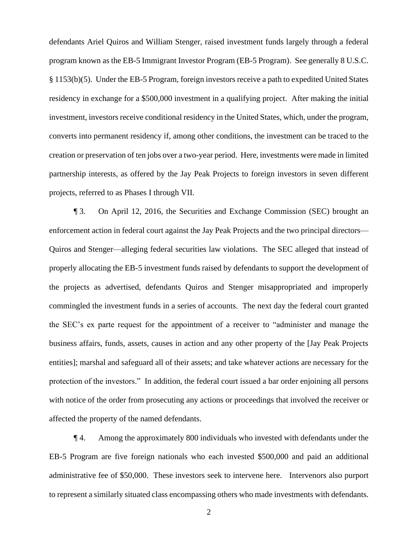defendants Ariel Quiros and William Stenger, raised investment funds largely through a federal program known as the EB-5 Immigrant Investor Program (EB-5 Program). See generally 8 U.S.C. § 1153(b)(5). Under the EB-5 Program, foreign investors receive a path to expedited United States residency in exchange for a \$500,000 investment in a qualifying project.After making the initial investment, investors receive conditional residency in the United States, which, under the program, converts into permanent residency if, among other conditions, the investment can be traced to the creation or preservation of ten jobs over a two-year period. Here, investments were made in limited partnership interests, as offered by the Jay Peak Projects to foreign investors in seven different projects, referred to as Phases I through VII.

¶ 3. On April 12, 2016, the Securities and Exchange Commission (SEC) brought an enforcement action in federal court against the Jay Peak Projects and the two principal directors— Quiros and Stenger—alleging federal securities law violations. The SEC alleged that instead of properly allocating the EB-5 investment funds raised by defendants to support the development of the projects as advertised, defendants Quiros and Stenger misappropriated and improperly commingled the investment funds in a series of accounts. The next day the federal court granted the SEC's ex parte request for the appointment of a receiver to "administer and manage the business affairs, funds, assets, causes in action and any other property of the [Jay Peak Projects entities]; marshal and safeguard all of their assets; and take whatever actions are necessary for the protection of the investors." In addition, the federal court issued a bar order enjoining all persons with notice of the order from prosecuting any actions or proceedings that involved the receiver or affected the property of the named defendants.

¶ 4. Among the approximately 800 individuals who invested with defendants under the EB-5 Program are five foreign nationals who each invested \$500,000 and paid an additional administrative fee of \$50,000. These investors seek to intervene here. Intervenors also purport to represent a similarly situated class encompassing others who made investments with defendants.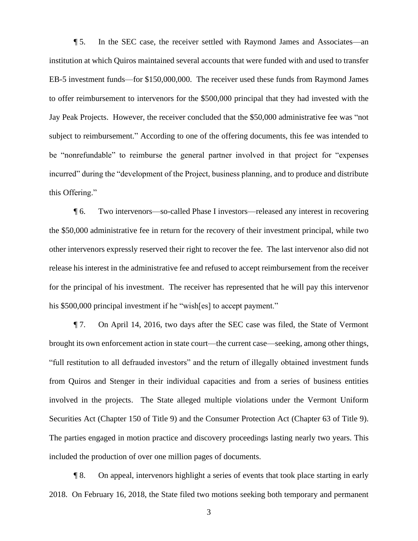¶ 5. In the SEC case, the receiver settled with Raymond James and Associates—an institution at which Quiros maintained several accounts that were funded with and used to transfer EB-5 investment funds—for \$150,000,000. The receiver used these funds from Raymond James to offer reimbursement to intervenors for the \$500,000 principal that they had invested with the Jay Peak Projects. However, the receiver concluded that the \$50,000 administrative fee was "not subject to reimbursement." According to one of the offering documents, this fee was intended to be "nonrefundable" to reimburse the general partner involved in that project for "expenses incurred" during the "development of the Project, business planning, and to produce and distribute this Offering."

¶ 6. Two intervenors—so-called Phase I investors—released any interest in recovering the \$50,000 administrative fee in return for the recovery of their investment principal, while two other intervenors expressly reserved their right to recover the fee. The last intervenor also did not release his interest in the administrative fee and refused to accept reimbursement from the receiver for the principal of his investment. The receiver has represented that he will pay this intervenor his \$500,000 principal investment if he "wish[es] to accept payment."

¶ 7. On April 14, 2016, two days after the SEC case was filed, the State of Vermont brought its own enforcement action in state court—the current case—seeking, among other things, "full restitution to all defrauded investors" and the return of illegally obtained investment funds from Quiros and Stenger in their individual capacities and from a series of business entities involved in the projects. The State alleged multiple violations under the Vermont Uniform Securities Act (Chapter 150 of Title 9) and the Consumer Protection Act (Chapter 63 of Title 9). The parties engaged in motion practice and discovery proceedings lasting nearly two years. This included the production of over one million pages of documents.

¶ 8. On appeal, intervenors highlight a series of events that took place starting in early 2018. On February 16, 2018, the State filed two motions seeking both temporary and permanent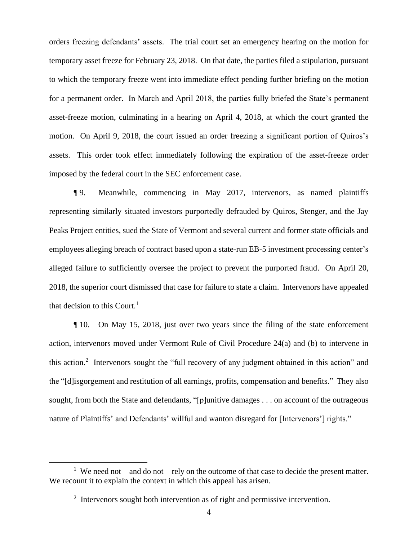orders freezing defendants' assets. The trial court set an emergency hearing on the motion for temporary asset freeze for February 23, 2018. On that date, the parties filed a stipulation, pursuant to which the temporary freeze went into immediate effect pending further briefing on the motion for a permanent order. In March and April 2018, the parties fully briefed the State's permanent asset-freeze motion, culminating in a hearing on April 4, 2018, at which the court granted the motion. On April 9, 2018, the court issued an order freezing a significant portion of Quiros's assets. This order took effect immediately following the expiration of the asset-freeze order imposed by the federal court in the SEC enforcement case.

¶ 9. Meanwhile, commencing in May 2017, intervenors, as named plaintiffs representing similarly situated investors purportedly defrauded by Quiros, Stenger, and the Jay Peaks Project entities, sued the State of Vermont and several current and former state officials and employees alleging breach of contract based upon a state-run EB-5 investment processing center's alleged failure to sufficiently oversee the project to prevent the purported fraud. On April 20, 2018, the superior court dismissed that case for failure to state a claim. Intervenors have appealed that decision to this Court. 1

¶ 10. On May 15, 2018, just over two years since the filing of the state enforcement action, intervenors moved under Vermont Rule of Civil Procedure 24(a) and (b) to intervene in this action.<sup>2</sup> Intervenors sought the "full recovery of any judgment obtained in this action" and the "[d]isgorgement and restitution of all earnings, profits, compensation and benefits." They also sought, from both the State and defendants, "[p]unitive damages . . . on account of the outrageous nature of Plaintiffs' and Defendants' willful and wanton disregard for [Intervenors'] rights."

<sup>&</sup>lt;sup>1</sup> We need not—and do not—rely on the outcome of that case to decide the present matter. We recount it to explain the context in which this appeal has arisen.

<sup>&</sup>lt;sup>2</sup> Intervenors sought both intervention as of right and permissive intervention.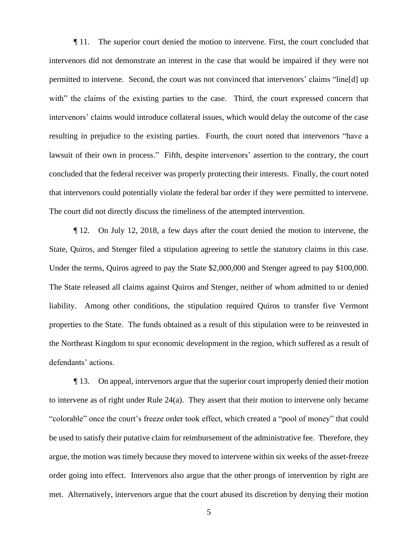¶ 11. The superior court denied the motion to intervene. First, the court concluded that intervenors did not demonstrate an interest in the case that would be impaired if they were not permitted to intervene. Second, the court was not convinced that intervenors' claims "line[d] up with" the claims of the existing parties to the case. Third, the court expressed concern that intervenors' claims would introduce collateral issues, which would delay the outcome of the case resulting in prejudice to the existing parties. Fourth, the court noted that intervenors "have a lawsuit of their own in process." Fifth, despite intervenors' assertion to the contrary, the court concluded that the federal receiver was properly protecting their interests. Finally, the court noted that intervenors could potentially violate the federal bar order if they were permitted to intervene. The court did not directly discuss the timeliness of the attempted intervention.

¶ 12. On July 12, 2018, a few days after the court denied the motion to intervene, the State, Quiros, and Stenger filed a stipulation agreeing to settle the statutory claims in this case. Under the terms, Quiros agreed to pay the State \$2,000,000 and Stenger agreed to pay \$100,000. The State released all claims against Quiros and Stenger, neither of whom admitted to or denied liability. Among other conditions, the stipulation required Quiros to transfer five Vermont properties to the State. The funds obtained as a result of this stipulation were to be reinvested in the Northeast Kingdom to spur economic development in the region, which suffered as a result of defendants' actions.

¶ 13. On appeal, intervenors argue that the superior court improperly denied their motion to intervene as of right under Rule 24(a). They assert that their motion to intervene only became "colorable" once the court's freeze order took effect, which created a "pool of money" that could be used to satisfy their putative claim for reimbursement of the administrative fee. Therefore, they argue, the motion was timely because they moved to intervene within six weeks of the asset-freeze order going into effect. Intervenors also argue that the other prongs of intervention by right are met. Alternatively, intervenors argue that the court abused its discretion by denying their motion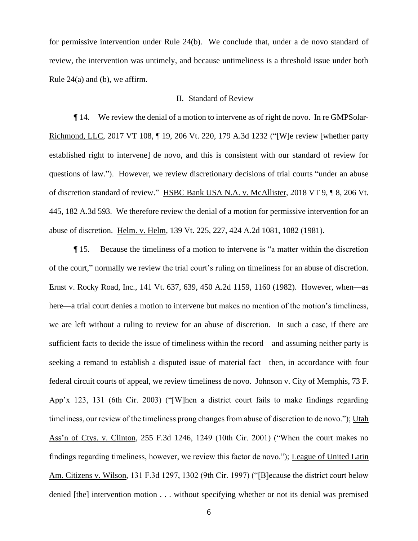for permissive intervention under Rule 24(b). We conclude that, under a de novo standard of review, the intervention was untimely, and because untimeliness is a threshold issue under both Rule 24(a) and (b), we affirm.

#### II. Standard of Review

¶ 14. We review the denial of a motion to intervene as of right de novo. In re GMPSolar-Richmond, LLC, 2017 VT 108, ¶ 19, 206 Vt. 220, 179 A.3d 1232 ("[W]e review [whether party established right to intervene] de novo, and this is consistent with our standard of review for questions of law."). However, we review discretionary decisions of trial courts "under an abuse of discretion standard of review." HSBC Bank USA N.A. v. McAllister, 2018 VT 9, ¶ 8, 206 Vt. 445, 182 A.3d 593. We therefore review the denial of a motion for permissive intervention for an abuse of discretion. Helm. v. Helm, 139 Vt. 225, 227, 424 A.2d 1081, 1082 (1981).

¶ 15. Because the timeliness of a motion to intervene is "a matter within the discretion of the court," normally we review the trial court's ruling on timeliness for an abuse of discretion. Ernst v. Rocky Road, Inc., 141 Vt. 637, 639, 450 A.2d 1159, 1160 (1982). However, when—as here—a trial court denies a motion to intervene but makes no mention of the motion's timeliness, we are left without a ruling to review for an abuse of discretion. In such a case, if there are sufficient facts to decide the issue of timeliness within the record—and assuming neither party is seeking a remand to establish a disputed issue of material fact—then, in accordance with four federal circuit courts of appeal, we review timeliness de novo. Johnson v. City of Memphis, 73 F. App'x 123, 131 (6th Cir. 2003) ("[W]hen a district court fails to make findings regarding timeliness, our review of the timeliness prong changes from abuse of discretion to de novo."); Utah Ass'n of Ctys. v. Clinton, 255 F.3d 1246, 1249 (10th Cir. 2001) ("When the court makes no findings regarding timeliness, however, we review this factor de novo."); League of United Latin Am. Citizens v. Wilson, 131 F.3d 1297, 1302 (9th Cir. 1997) ("[B]ecause the district court below denied [the] intervention motion . . . without specifying whether or not its denial was premised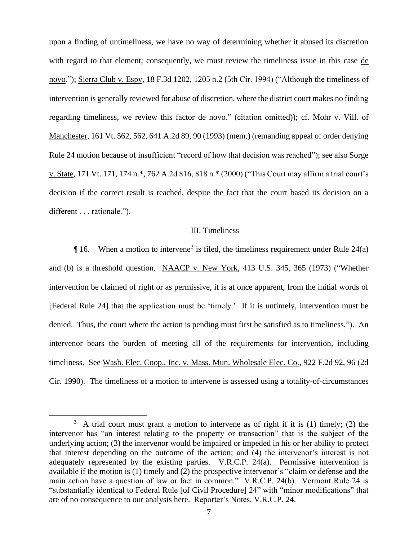upon a finding of untimeliness, we have no way of determining whether it abused its discretion with regard to that element; consequently, we must review the timeliness issue in this case de novo."); Sierra Club v. Espy, 18 F.3d 1202, 1205 n.2 (5th Cir. 1994) ("Although the timeliness of intervention is generally reviewed for abuse of discretion, where the district court makes no finding regarding timeliness, we review this factor de novo." (citation omitted)); cf. Mohr v. Vill. of Manchester, 161 Vt. 562, 562, 641 A.2d 89, 90 (1993) (mem.) (remanding appeal of order denying Rule 24 motion because of insufficient "record of how that decision was reached"); see also Sorge v. State, 171 Vt. 171, 174 n.\*, 762 A.2d 816, 818 n.\* (2000) ("This Court may affirm a trial court's decision if the correct result is reached, despite the fact that the court based its decision on a different . . . rationale.").

# III. Timeliness

 $\P$  16. When a motion to intervene<sup>3</sup> is filed, the timeliness requirement under Rule 24(a) and (b) is a threshold question. NAACP v. New York, 413 U.S. 345, 365 (1973) ("Whether intervention be claimed of right or as permissive, it is at once apparent, from the initial words of [Federal Rule 24] that the application must be 'timely.' If it is untimely, intervention must be denied. Thus, the court where the action is pending must first be satisfied as to timeliness."). An intervenor bears the burden of meeting all of the requirements for intervention, including timeliness. See Wash. Elec. Coop., Inc. v. Mass. Mun. Wholesale Elec. Co., 922 F.2d 92, 96 (2d Cir. 1990). The timeliness of a motion to intervene is assessed using a totality-of-circumstances

 $3$  A trial court must grant a motion to intervene as of right if it is (1) timely; (2) the intervenor has "an interest relating to the property or transaction" that is the subject of the underlying action; (3) the intervenor would be impaired or impeded in his or her ability to protect that interest depending on the outcome of the action; and (4) the intervenor's interest is not adequately represented by the existing parties. V.R.C.P. 24(a). Permissive intervention is available if the motion is (1) timely and (2) the prospective intervenor's "claim or defense and the main action have a question of law or fact in common." V.R.C.P. 24(b). Vermont Rule 24 is "substantially identical to Federal Rule [of Civil Procedure] 24" with "minor modifications" that are of no consequence to our analysis here. Reporter's Notes, V.R.C.P. 24.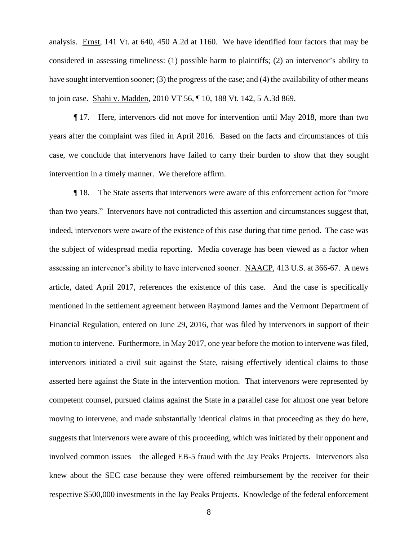analysis. Ernst, 141 Vt. at 640, 450 A.2d at 1160. We have identified four factors that may be considered in assessing timeliness: (1) possible harm to plaintiffs; (2) an intervenor's ability to have sought intervention sooner; (3) the progress of the case; and (4) the availability of other means to join case. Shahi v. Madden, 2010 VT 56, ¶ 10, 188 Vt. 142, 5 A.3d 869.

¶ 17. Here, intervenors did not move for intervention until May 2018, more than two years after the complaint was filed in April 2016. Based on the facts and circumstances of this case, we conclude that intervenors have failed to carry their burden to show that they sought intervention in a timely manner. We therefore affirm.

¶ 18. The State asserts that intervenors were aware of this enforcement action for "more than two years." Intervenors have not contradicted this assertion and circumstances suggest that, indeed, intervenors were aware of the existence of this case during that time period. The case was the subject of widespread media reporting. Media coverage has been viewed as a factor when assessing an intervenor's ability to have intervened sooner. NAACP, 413 U.S. at 366-67. A news article, dated April 2017, references the existence of this case. And the case is specifically mentioned in the settlement agreement between Raymond James and the Vermont Department of Financial Regulation, entered on June 29, 2016, that was filed by intervenors in support of their motion to intervene. Furthermore, in May 2017, one year before the motion to intervene was filed, intervenors initiated a civil suit against the State, raising effectively identical claims to those asserted here against the State in the intervention motion. That intervenors were represented by competent counsel, pursued claims against the State in a parallel case for almost one year before moving to intervene, and made substantially identical claims in that proceeding as they do here, suggests that intervenors were aware of this proceeding, which was initiated by their opponent and involved common issues—the alleged EB-5 fraud with the Jay Peaks Projects.Intervenors also knew about the SEC case because they were offered reimbursement by the receiver for their respective \$500,000 investments in the Jay Peaks Projects. Knowledge of the federal enforcement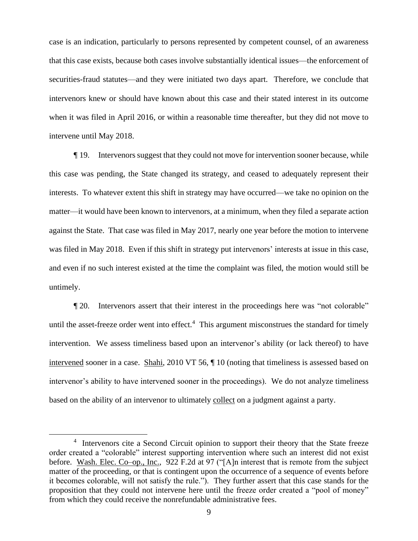case is an indication, particularly to persons represented by competent counsel, of an awareness that this case exists, because both cases involve substantially identical issues—the enforcement of securities-fraud statutes—and they were initiated two days apart. Therefore, we conclude that intervenors knew or should have known about this case and their stated interest in its outcome when it was filed in April 2016, or within a reasonable time thereafter, but they did not move to intervene until May 2018.

¶ 19. Intervenors suggest that they could not move for intervention sooner because, while this case was pending, the State changed its strategy, and ceased to adequately represent their interests. To whatever extent this shift in strategy may have occurred—we take no opinion on the matter—it would have been known to intervenors, at a minimum, when they filed a separate action against the State. That case was filed in May 2017, nearly one year before the motion to intervene was filed in May 2018. Even if this shift in strategy put intervenors' interests at issue in this case, and even if no such interest existed at the time the complaint was filed, the motion would still be untimely.

¶ 20. Intervenors assert that their interest in the proceedings here was "not colorable" until the asset-freeze order went into effect.<sup>4</sup> This argument misconstrues the standard for timely intervention. We assess timeliness based upon an intervenor's ability (or lack thereof) to have intervened sooner in a case. Shahi, 2010 VT 56, ¶ 10 (noting that timeliness is assessed based on intervenor's ability to have intervened sooner in the proceedings). We do not analyze timeliness based on the ability of an intervenor to ultimately collect on a judgment against a party.

<sup>&</sup>lt;sup>4</sup> Intervenors cite a Second Circuit opinion to support their theory that the State freeze order created a "colorable" interest supporting intervention where such an interest did not exist before. Wash. Elec. Co–op., Inc., 922 F.2d at 97 ("[A]n interest that is remote from the subject matter of the proceeding, or that is contingent upon the occurrence of a sequence of events before it becomes colorable, will not satisfy the rule."). They further assert that this case stands for the proposition that they could not intervene here until the freeze order created a "pool of money" from which they could receive the nonrefundable administrative fees.